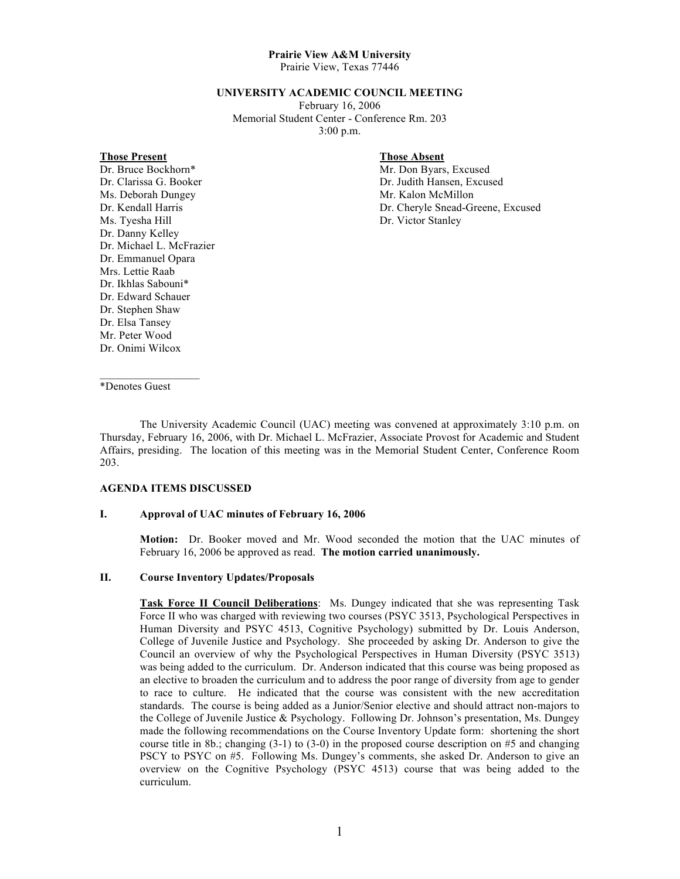# **Prairie View A&M University**

Prairie View, Texas 77446

### **UNIVERSITY ACADEMIC COUNCIL MEETING**

February 16, 2006 Memorial Student Center - Conference Rm. 203 3:00 p.m.

#### **Those Present Those Absent**

## Dr. Bruce Bockhorn\* Mr. Don Byars, Excused Ms. Deborah Dungey Mr. Kalon McMillon Ms. Tyesha Hill Dr. Victor Stanley Dr. Danny Kelley Dr. Michael L. McFrazier Dr. Emmanuel Opara Mrs. Lettie Raab Dr. Ikhlas Sabouni\* Dr. Edward Schauer Dr. Stephen Shaw Dr. Elsa Tansey Mr. Peter Wood Dr. Onimi Wilcox

Dr. Clarissa G. Booker **Dr. Judith Hansen, Excused** Dr. Kendall Harris Dr. Cheryle Snead-Greene, Excused

\*Denotes Guest

 $\mathcal{L}_\text{max}$  and  $\mathcal{L}_\text{max}$  and  $\mathcal{L}_\text{max}$ 

The University Academic Council (UAC) meeting was convened at approximately 3:10 p.m. on Thursday, February 16, 2006, with Dr. Michael L. McFrazier, Associate Provost for Academic and Student Affairs, presiding. The location of this meeting was in the Memorial Student Center, Conference Room 203.

#### **AGENDA ITEMS DISCUSSED**

#### **I. Approval of UAC minutes of February 16, 2006**

**Motion:** Dr. Booker moved and Mr. Wood seconded the motion that the UAC minutes of February 16, 2006 be approved as read. **The motion carried unanimously.** 

#### **II. Course Inventory Updates/Proposals**

**Task Force II Council Deliberations**:Ms. Dungey indicated that she was representing Task Force II who was charged with reviewing two courses (PSYC 3513, Psychological Perspectives in Human Diversity and PSYC 4513, Cognitive Psychology) submitted by Dr. Louis Anderson, College of Juvenile Justice and Psychology. She proceeded by asking Dr. Anderson to give the Council an overview of why the Psychological Perspectives in Human Diversity (PSYC 3513) was being added to the curriculum. Dr. Anderson indicated that this course was being proposed as an elective to broaden the curriculum and to address the poor range of diversity from age to gender to race to culture. He indicated that the course was consistent with the new accreditation standards. The course is being added as a Junior/Senior elective and should attract non-majors to the College of Juvenile Justice & Psychology. Following Dr. Johnson's presentation, Ms. Dungey made the following recommendations on the Course Inventory Update form: shortening the short course title in 8b.; changing (3-1) to (3-0) in the proposed course description on #5 and changing PSCY to PSYC on #5. Following Ms. Dungey's comments, she asked Dr. Anderson to give an overview on the Cognitive Psychology (PSYC 4513) course that was being added to the curriculum.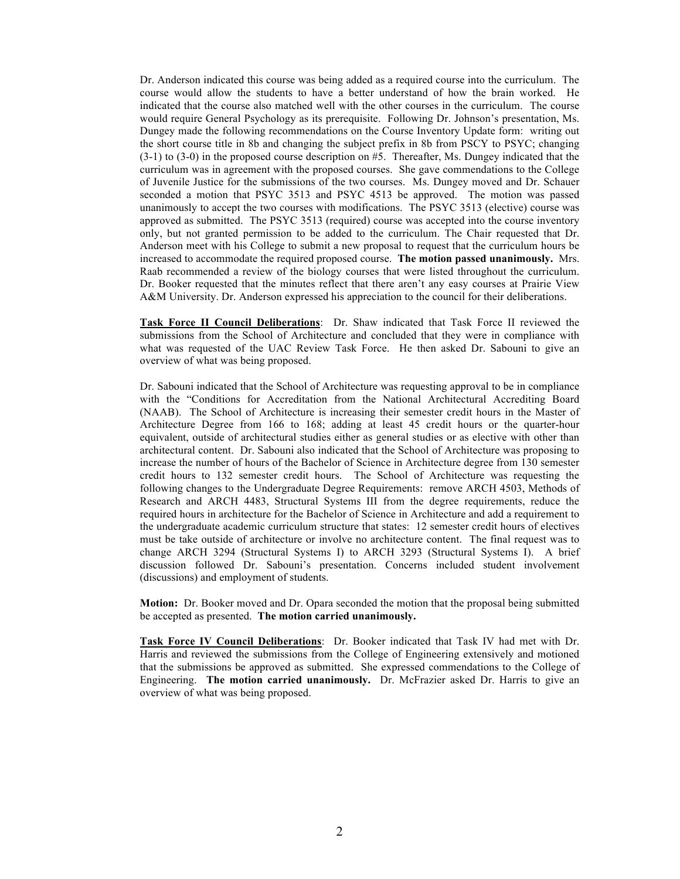Dr. Anderson indicated this course was being added as a required course into the curriculum. The course would allow the students to have a better understand of how the brain worked. He indicated that the course also matched well with the other courses in the curriculum. The course would require General Psychology as its prerequisite. Following Dr. Johnson's presentation, Ms. Dungey made the following recommendations on the Course Inventory Update form: writing out the short course title in 8b and changing the subject prefix in 8b from PSCY to PSYC; changing  $(3-1)$  to  $(3-0)$  in the proposed course description on #5. Thereafter, Ms. Dungey indicated that the curriculum was in agreement with the proposed courses. She gave commendations to the College of Juvenile Justice for the submissions of the two courses. Ms. Dungey moved and Dr. Schauer seconded a motion that PSYC 3513 and PSYC 4513 be approved. The motion was passed unanimously to accept the two courses with modifications. The PSYC 3513 (elective) course was approved as submitted. The PSYC 3513 (required) course was accepted into the course inventory only, but not granted permission to be added to the curriculum. The Chair requested that Dr. Anderson meet with his College to submit a new proposal to request that the curriculum hours be increased to accommodate the required proposed course. **The motion passed unanimously.** Mrs. Raab recommended a review of the biology courses that were listed throughout the curriculum. Dr. Booker requested that the minutes reflect that there aren't any easy courses at Prairie View A&M University. Dr. Anderson expressed his appreciation to the council for their deliberations.

**Task Force II Council Deliberations**: Dr. Shaw indicated that Task Force II reviewed the submissions from the School of Architecture and concluded that they were in compliance with what was requested of the UAC Review Task Force. He then asked Dr. Sabouni to give an overview of what was being proposed.

Dr. Sabouni indicated that the School of Architecture was requesting approval to be in compliance with the "Conditions for Accreditation from the National Architectural Accrediting Board (NAAB). The School of Architecture is increasing their semester credit hours in the Master of Architecture Degree from 166 to 168; adding at least 45 credit hours or the quarter-hour equivalent, outside of architectural studies either as general studies or as elective with other than architectural content. Dr. Sabouni also indicated that the School of Architecture was proposing to increase the number of hours of the Bachelor of Science in Architecture degree from 130 semester credit hours to 132 semester credit hours. The School of Architecture was requesting the following changes to the Undergraduate Degree Requirements: remove ARCH 4503, Methods of Research and ARCH 4483, Structural Systems III from the degree requirements, reduce the required hours in architecture for the Bachelor of Science in Architecture and add a requirement to the undergraduate academic curriculum structure that states: 12 semester credit hours of electives must be take outside of architecture or involve no architecture content. The final request was to change ARCH 3294 (Structural Systems I) to ARCH 3293 (Structural Systems I). A brief discussion followed Dr. Sabouni's presentation. Concerns included student involvement (discussions) and employment of students.

**Motion:** Dr. Booker moved and Dr. Opara seconded the motion that the proposal being submitted be accepted as presented. **The motion carried unanimously.**

**Task Force IV Council Deliberations**: Dr. Booker indicated that Task IV had met with Dr. Harris and reviewed the submissions from the College of Engineering extensively and motioned that the submissions be approved as submitted. She expressed commendations to the College of Engineering. **The motion carried unanimously.** Dr. McFrazier asked Dr. Harris to give an overview of what was being proposed.